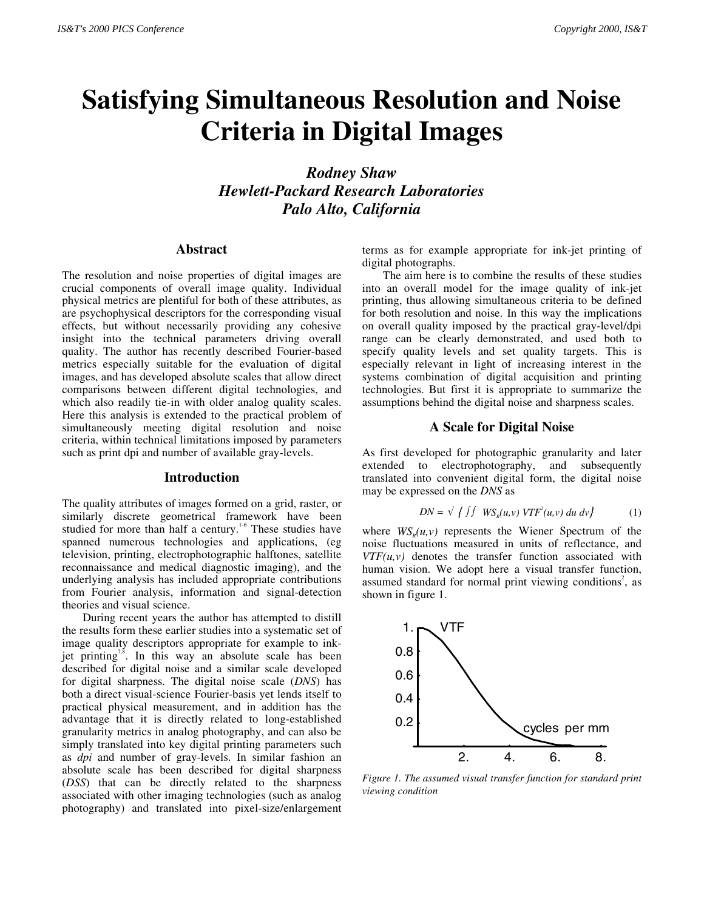# **Satisfying Simultaneous Resolution and Noise Criteria in Digital Images**

*Rodney Shaw Hewlett-Packard Research Laboratories Palo Alto, California*

# **Abstract**

The resolution and noise properties of digital images are crucial components of overall image quality. Individual physical metrics are plentiful for both of these attributes, as are psychophysical descriptors for the corresponding visual effects, but without necessarily providing any cohesive insight into the technical parameters driving overall quality. The author has recently described Fourier-based metrics especially suitable for the evaluation of digital images, and has developed absolute scales that allow direct comparisons between different digital technologies, and which also readily tie-in with older analog quality scales. Here this analysis is extended to the practical problem of simultaneously meeting digital resolution and noise criteria, within technical limitations imposed by parameters such as print dpi and number of available gray-levels.

### **Introduction**

The quality attributes of images formed on a grid, raster, or similarly discrete geometrical framework have been studied for more than half a century.<sup>1-6</sup> These studies have spanned numerous technologies and applications, (eg television, printing, electrophotographic halftones, satellite reconnaissance and medical diagnostic imaging), and the underlying analysis has included appropriate contributions from Fourier analysis, information and signal-detection theories and visual science.

During recent years the author has attempted to distill the results form these earlier studies into a systematic set of image quality descriptors appropriate for example to inkjet printing<sup>7,8</sup>. In this way an absolute scale has been described for digital noise and a similar scale developed for digital sharpness. The digital noise scale (*DNS*) has both a direct visual-science Fourier-basis yet lends itself to practical physical measurement, and in addition has the advantage that it is directly related to long-established granularity metrics in analog photography, and can also be simply translated into key digital printing parameters such as *dpi* and number of gray-levels. In similar fashion an absolute scale has been described for digital sharpness (*DSS*) that can be directly related to the sharpness associated with other imaging technologies (such as analog photography) and translated into pixel-size/enlargement

terms as for example appropriate for ink-jet printing of digital photographs.

The aim here is to combine the results of these studies into an overall model for the image quality of ink-jet printing, thus allowing simultaneous criteria to be defined for both resolution and noise. In this way the implications on overall quality imposed by the practical gray-level/dpi range can be clearly demonstrated, and used both to specify quality levels and set quality targets. This is especially relevant in light of increasing interest in the systems combination of digital acquisition and printing technologies. But first it is appropriate to summarize the assumptions behind the digital noise and sharpness scales.

### **A Scale for Digital Noise**

As first developed for photographic granularity and later extended to electrophotography, and subsequently translated into convenient digital form, the digital noise may be expressed on the *DNS* as

$$
DN = \sqrt{f \int W S_{R}(u, v) VTF^{2}(u, v) du dv}
$$
 (1)

where  $WS<sub>n</sub>(u, v)$  represents the Wiener Spectrum of the noise fluctuations measured in units of reflectance, and  $VTF(u, v)$  denotes the transfer function associated with human vision. We adopt here a visual transfer function, assumed standard for normal print viewing conditions<sup>2</sup>, as shown in figure 1.



*Figure 1. The assumed visual transfer function for standard print viewing condition*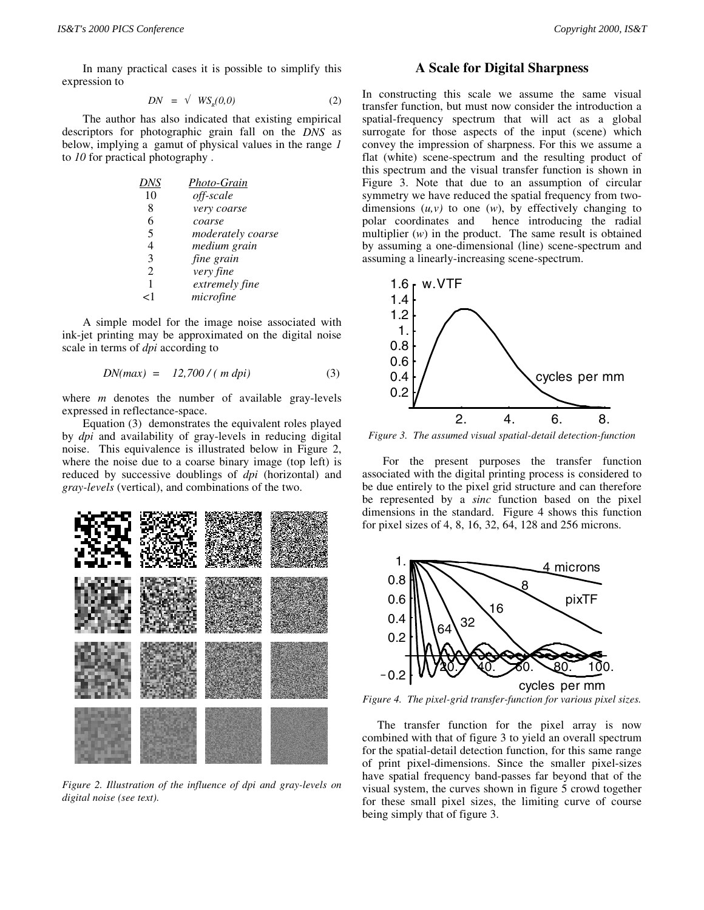In many practical cases it is possible to simplify this expression to

$$
DN = \sqrt{WS_n(0,0)} \tag{2}
$$

The author has also indicated that existing empirical descriptors for photographic grain fall on the *DNS* as below, implying a gamut of physical values in the range *1* to *10* for practical photography .

| Photo-Grain       |
|-------------------|
| off-scale         |
| very coarse       |
| coarse            |
| moderately coarse |
| medium grain      |
| fine grain        |
| very fine         |
| extremely fine    |
| microfine         |
|                   |

A simple model for the image noise associated with ink-jet printing may be approximated on the digital noise scale in terms of *dpi* according to

$$
DN(max) = 12,700 / (m \, \text{dpi}) \tag{3}
$$

where *m* denotes the number of available gray-levels expressed in reflectance-space.

Equation (3) demonstrates the equivalent roles played by *dpi* and availability of gray-levels in reducing digital noise. This equivalence is illustrated below in Figure 2, where the noise due to a coarse binary image (top left) is reduced by successive doublings of *dpi* (horizontal) and *gray-levels* (vertical), and combinations of the two.



*Figure 2. Illustration of the influence of dpi and gray-levels on digital noise (see text).*

# **A Scale for Digital Sharpness**

In constructing this scale we assume the same visual transfer function, but must now consider the introduction a spatial-frequency spectrum that will act as a global surrogate for those aspects of the input (scene) which convey the impression of sharpness. For this we assume a flat (white) scene-spectrum and the resulting product of this spectrum and the visual transfer function is shown in Figure 3. Note that due to an assumption of circular symmetry we have reduced the spatial frequency from twodimensions  $(u, v)$  to one  $(w)$ , by effectively changing to polar coordinates and hence introducing the radial multiplier (*w*) in the product. The same result is obtained by assuming a one-dimensional (line) scene-spectrum and assuming a linearly-increasing scene-spectrum.



*Figure 3. The assumed visual spatial-detail detection-function*

For the present purposes the transfer function associated with the digital printing process is considered to be due entirely to the pixel grid structure and can therefore be represented by a *sinc* function based on the pixel dimensions in the standard. Figure 4 shows this function for pixel sizes of 4, 8, 16, 32, 64, 128 and 256 microns.



*Figure 4. The pixel-grid transfer-function for various pixel sizes.*

 The transfer function for the pixel array is now combined with that of figure 3 to yield an overall spectrum for the spatial-detail detection function, for this same range of print pixel-dimensions. Since the smaller pixel-sizes have spatial frequency band-passes far beyond that of the visual system, the curves shown in figure 5 crowd together for these small pixel sizes, the limiting curve of course being simply that of figure 3.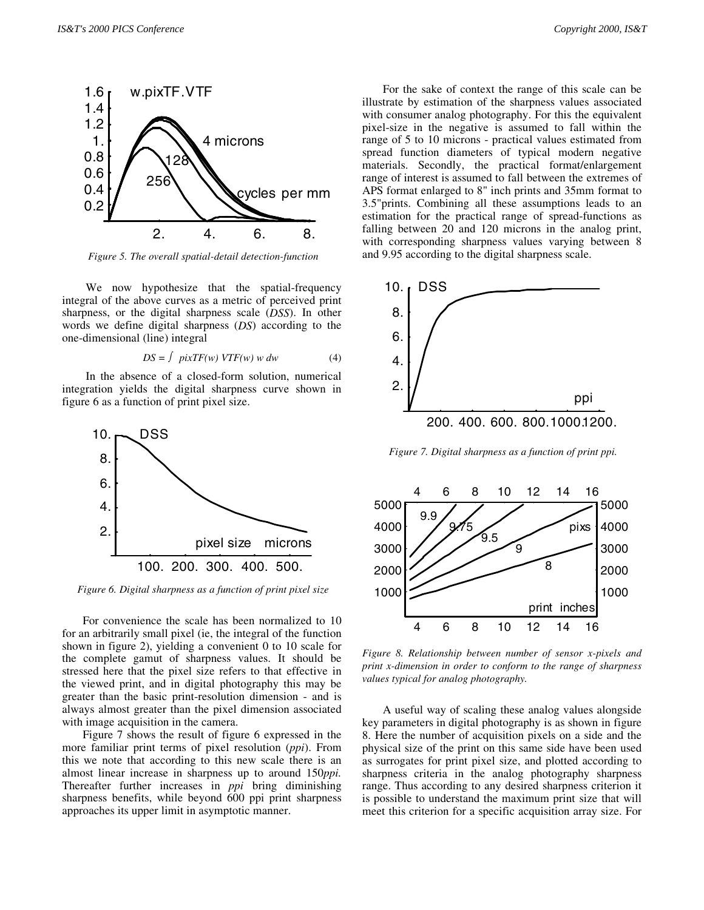

 *Figure 5. The overall spatial-detail detection-function*

We now hypothesize that the spatial-frequency integral of the above curves as a metric of perceived print sharpness, or the digital sharpness scale (*DSS*). In other words we define digital sharpness (*DS*) according to the one-dimensional (line) integral

$$
DS = \int \; pixTF(w) \; VTF(w) \; w \; dw \tag{4}
$$

 In the absence of a closed-form solution, numerical integration yields the digital sharpness curve shown in figure 6 as a function of print pixel size.



 *Figure 6. Digital sharpness as a function of print pixel size*

For convenience the scale has been normalized to 10 for an arbitrarily small pixel (ie, the integral of the function shown in figure 2), yielding a convenient 0 to 10 scale for the complete gamut of sharpness values. It should be stressed here that the pixel size refers to that effective in the viewed print, and in digital photography this may be greater than the basic print-resolution dimension - and is always almost greater than the pixel dimension associated with image acquisition in the camera.

Figure 7 shows the result of figure 6 expressed in the more familiar print terms of pixel resolution (*ppi*). From this we note that according to this new scale there is an almost linear increase in sharpness up to around 150*ppi.* Thereafter further increases in *ppi* bring diminishing sharpness benefits, while beyond 600 ppi print sharpness approaches its upper limit in asymptotic manner.

For the sake of context the range of this scale can be illustrate by estimation of the sharpness values associated with consumer analog photography. For this the equivalent pixel-size in the negative is assumed to fall within the range of 5 to 10 microns - practical values estimated from spread function diameters of typical modern negative materials. Secondly, the practical format/enlargement range of interest is assumed to fall between the extremes of APS format enlarged to 8" inch prints and 35mm format to 3.5"prints. Combining all these assumptions leads to an estimation for the practical range of spread-functions as



falling between 20 and 120 microns in the analog print, with corresponding sharpness values varying between 8

and 9.95 according to the digital sharpness scale.

 *Figure 7. Digital sharpness as a function of print ppi.*



*Figure 8. Relationship between number of sensor x-pixels and print x-dimension in order to conform to the range of sharpness values typical for analog photography.*

A useful way of scaling these analog values alongside key parameters in digital photography is as shown in figure 8. Here the number of acquisition pixels on a side and the physical size of the print on this same side have been used as surrogates for print pixel size, and plotted according to sharpness criteria in the analog photography sharpness range. Thus according to any desired sharpness criterion it is possible to understand the maximum print size that will meet this criterion for a specific acquisition array size. For